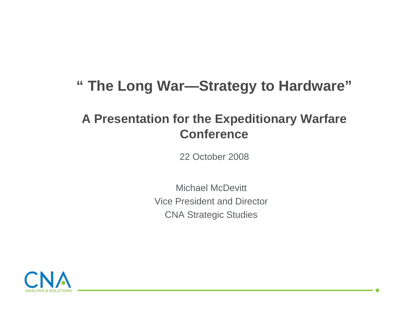### **" The Long War—Strategy to Hardware"**

### **A Presentation for the Expeditionary Warfare Conference**

22 October 2008

Michael McDevittVice President and DirectorCNA Strategic Studies

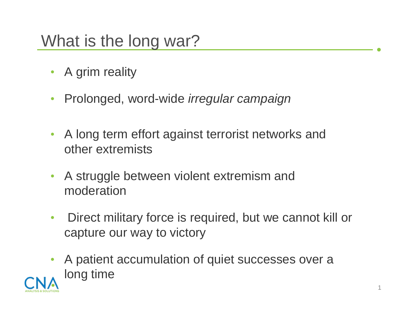# What is the long war?

- A grim reality
- Prolonged, word-wide *irregular campaign*
- A long term effort against terrorist networks and other extremists
- A struggle between violent extremism and moderation
- Direct military force is required, but we cannot kill or capture our way to victory
- A patient accumulation of quiet successes over a long time

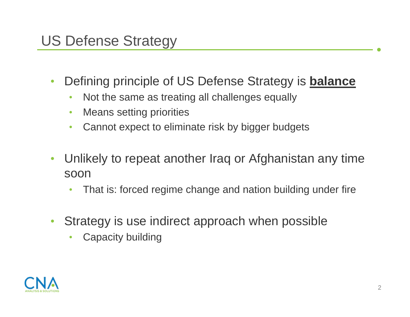# US Defense Strategy

- Defining principle of US Defense Strategy is **balance**
	- Not the same as treating all challenges equally
	- Means setting priorities
	- Cannot expect to eliminate risk by bigger budgets
- Unlikely to repeat another Iraq or Afghanistan any time soon
	- That is: forced regime change and nation building under fire
- Strategy is use indirect approach when possible
	- Capacity building

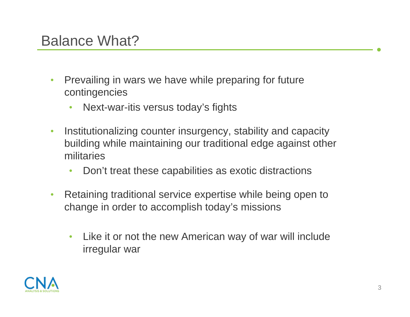- Prevailing in wars we have while preparing for future contingencies
	- Next-war-itis versus today's fights
- Institutionalizing counter insurgency, stability and capacity building while maintaining our traditional edge against other militaries
	- Don't treat these capabilities as exotic distractions
- Retaining traditional service expertise while being open to change in order to accomplish today's missions
	- Like it or not the new American way of war will include irregular war

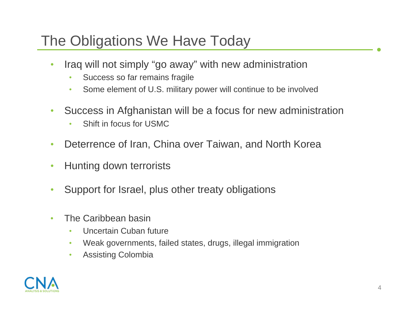# The Obligations We Have Today

- Iraq will not simply "go away" with new administration
	- Success so far remains fragile
	- Some element of U.S. military power will continue to be involved
- Success in Afghanistan will be a focus for new administration
	- Shift in focus for USMC
- Deterrence of Iran, China over Taiwan, and North Korea
- Hunting down terrorists
- Support for Israel, plus other treaty obligations
- The Caribbean basin
	- Uncertain Cuban future
	- Weak governments, failed states, drugs, illegal immigration
	- Assisting Colombia

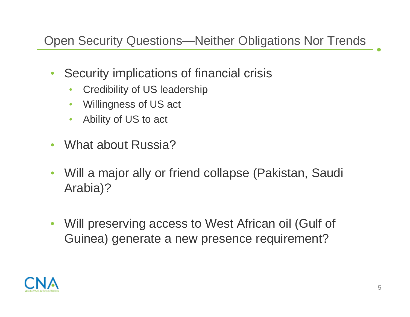#### Open Security Questions—Neither Obligations Nor Trends

- Security implications of financial crisis
	- Credibility of US leadership
	- Willingness of US act
	- Ability of US to act
- What about Russia?
- Will a major ally or friend collapse (Pakistan, Saudi Arabia)?
- Will preserving access to West African oil (Gulf of Guinea) generate a new presence requirement?

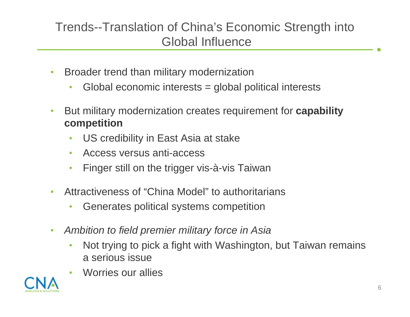### Trends--Translation of China's Economic Strength into Global Influence

- Broader trend than military modernization
	- Global economic interests = global political interests
- But military modernization creates requirement for **capability competition** 
	- US credibility in East Asia at stake
	- Access versus anti-access
	- Finger still on the trigger vis-à-vis Taiwan
- Attractiveness of "China Model" to authoritarians
	- Generates political systems competition
- *Ambition to field premier military force in Asia*
	- Not trying to pick a fight with Washington, but Taiwan remains a serious issue
	- Worries our allies

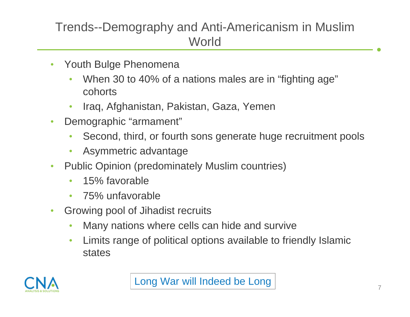### Trends--Demography and Anti-Americanism in Muslim **World**

- Youth Bulge Phenomena
	- When 30 to 40% of a nations males are in "fighting age" cohorts
	- Iraq, Afghanistan, Pakistan, Gaza, Yemen
- Demographic "armament"
	- Second, third, or fourth sons generate huge recruitment pools
	- Asymmetric advantage
- Public Opinion (predominately Muslim countries)
	- 15% favorable
	- 75% unfavorable
- Growing pool of Jihadist recruits
	- Many nations where cells can hide and survive
	- Limits range of political options available to friendly Islamic states

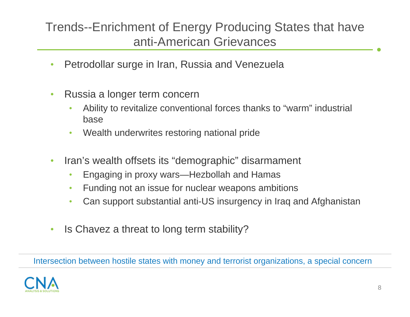#### Trends--Enrichment of Energy Producing States that have anti-American Grievances

- Petrodollar surge in Iran, Russia and Venezuela
- Russia a longer term concern
	- Ability to revitalize conventional forces thanks to "warm" industrial base
	- Wealth underwrites restoring national pride
- Iran's wealth offsets its "demographic" disarmament
	- Engaging in proxy wars—Hezbollah and Hamas
	- Funding not an issue for nuclear weapons ambitions
	- Can support substantial anti-US insurgency in Iraq and Afghanistan
- Is Chavez a threat to long term stability?

Intersection between hostile states with money and terrorist organizations, a special concern

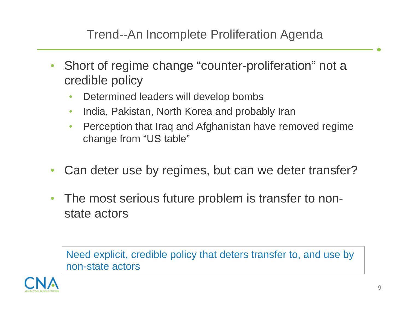#### Trend--An Incomplete Proliferation Agenda

- Short of regime change "counter-proliferation" not a credible policy
	- Determined leaders will develop bombs
	- India, Pakistan, North Korea and probably Iran
	- Perception that Iraq and Afghanistan have removed regime change from "US table"
- Can deter use by regimes, but can we deter transfer?
- The most serious future problem is transfer to nonstate actors

Need explicit, credible policy that deters transfer to, and use by non-state actors

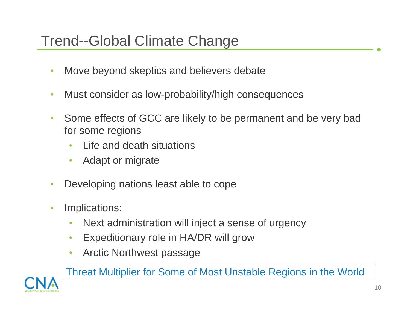### Trend--Global Climate Change

- Move beyond skeptics and believers debate
- Must consider as low-probability/high consequences
- Some effects of GCC are likely to be permanent and be very bad for some regions
	- Life and death situations
	- Adapt or migrate
- Developing nations least able to cope
- Implications:
	- Next administration will inject a sense of urgency
	- Expeditionary role in HA/DR will grow
	- Arctic Northwest passage